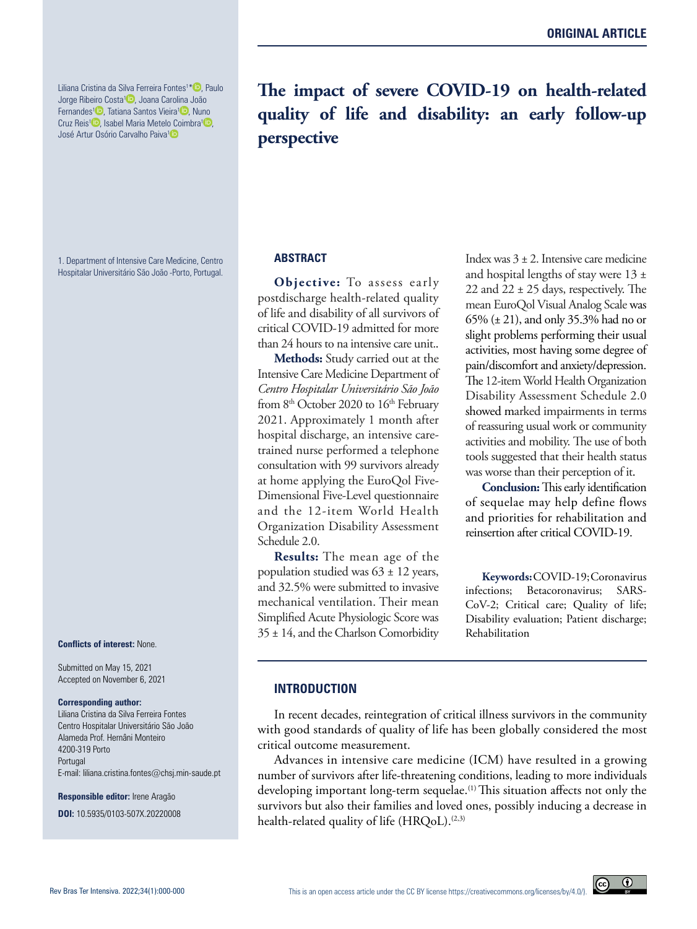Liliana Cristina da Silva Ferreira Fontes<sup>1\*</sup><sup>1</sup>[,](https://orcid.org/0000-0002-2215-4778) Paulo Jorge Ribeiro Costa<sup>1</sup><sup>D</sup>[,](https://orcid.org/0000-0002-7972-8744) Joana Carolina João Fernandes<sup>1</sup><sup>1</sup>[,](https://orcid.org/0000-0003-4871-3176) Tatiana Santos Vieira<sup>1</sup><sup>1</sup>, Nuno Cruz Reis<sup>[1](https://orcid.org/0000-0002-6470-4723)</sup> , Isabel Maria Metelo Coimbra<sup>1</sup> , José Artur Osório Carvalho Paiv[a1](https://orcid.org/0000-0003-4323-0220)

# **The impact of severe COVID-19 on health-related quality of life and disability: an early follow-up perspective**

1. Department of Intensive Care Medicine, Centro Hospitalar Universitário São João -Porto, Portugal.

#### **Conflicts of interest:** None.

Submitted on May 15, 2021 Accepted on November 6, 2021

#### **Corresponding author:**

Liliana Cristina da Silva Ferreira Fontes Centro Hospitalar Universitário São João Alameda Prof. Hernâni Monteiro 4200-319 Porto Portugal E-mail: liliana.cristina.fontes@chsj.min-saude.pt

#### **Responsible editor:** Irene Aragão

**DOI:** 10.5935/0103-507X.20220008

**Objective:** To assess early postdischarge health-related quality of life and disability of all survivors of critical COVID-19 admitted for more than 24 hours to na intensive care unit..

**Methods:** Study carried out at the Intensive Care Medicine Department of *Centro Hospitalar Universitário São João* from 8<sup>th</sup> October 2020 to 16<sup>th</sup> February 2021. Approximately 1 month after hospital discharge, an intensive caretrained nurse performed a telephone consultation with 99 survivors already at home applying the EuroQol Five-Dimensional Five-Level questionnaire and the 12-item World Health Organization Disability Assessment Schedule 2.0.

**Results:** The mean age of the population studied was  $63 \pm 12$  years, and 32.5% were submitted to invasive mechanical ventilation. Their mean Simplified Acute Physiologic Score was  $35 \pm 14$ , and the Charlson Comorbidity

**ABSTRACT** Index was  $3 \pm 2$ . Intensive care medicine and hospital lengths of stay were 13 ± 22 and  $22 \pm 25$  days, respectively. The mean EuroQol Visual Analog Scale was 65% (± 21), and only 35.3% had no or slight problems performing their usual activities, most having some degree of pain/discomfort and anxiety/depression. The 12-item World Health Organization Disability Assessment Schedule 2.0 showed marked impairments in terms of reassuring usual work or community activities and mobility. The use of both tools suggested that their health status was worse than their perception of it.

> **Conclusion:** This early identification of sequelae may help define flows and priorities for rehabilitation and reinsertion after critical COVID-19.

> **Keywords:**COVID-19; Coronavirus infections; Betacoronavirus; SARS-CoV-2; Critical care; Quality of life; Disability evaluation; Patient discharge; Rehabilitation

> > $\odot$

# **INTRODUCTION**

In recent decades, reintegration of critical illness survivors in the community with good standards of quality of life has been globally considered the most critical outcome measurement.

Advances in intensive care medicine (ICM) have resulted in a growing number of survivors after life-threatening conditions, leading to more individuals developing important long-term sequelae.<sup>(1)</sup> This situation affects not only the survivors but also their families and loved ones, possibly inducing a decrease in health-related quality of life (HRQoL).<sup>(2,3)</sup>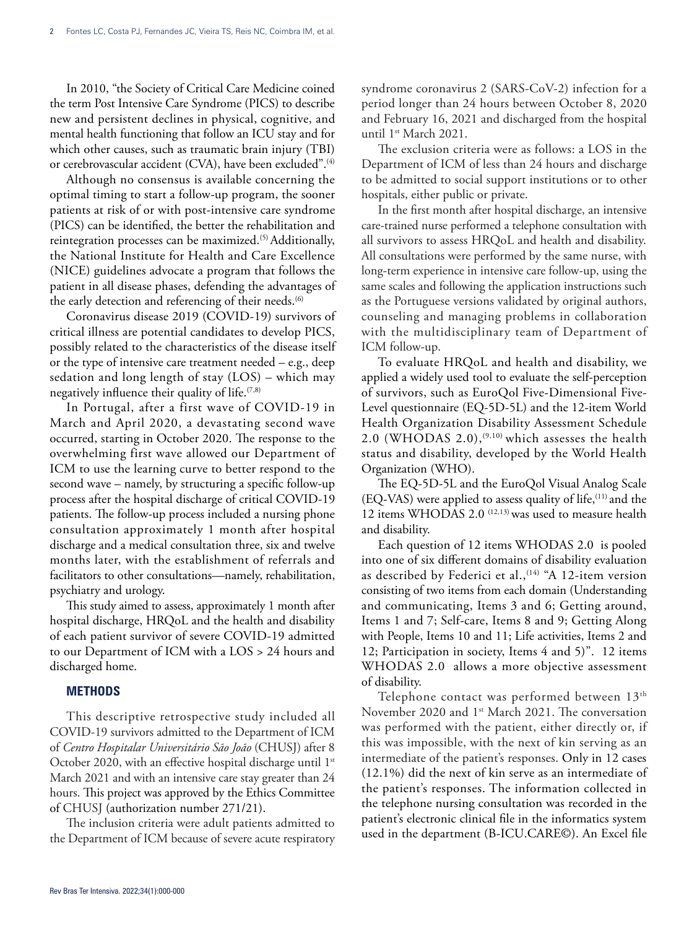In 2010, "the Society of Critical Care Medicine coined the term Post Intensive Care Syndrome (PICS) to describe new and persistent declines in physical, cognitive, and mental health functioning that follow an ICU stay and for which other causes, such as traumatic brain injury (TBI) or cerebrovascular accident (CVA), have been excluded".<sup>(4)</sup>

Although no consensus is available concerning the optimal timing to start a follow-up program, the sooner patients at risk of or with post-intensive care syndrome (PICS) can be identified, the better the rehabilitation and reintegration processes can be maximized.<sup>(5)</sup> Additionally, the National Institute for Health and Care Excellence (NICE) guidelines advocate a program that follows the patient in all disease phases, defending the advantages of the early detection and referencing of their needs.<sup>(6)</sup>

Coronavirus disease 2019 (COVID-19) survivors of critical illness are potential candidates to develop PICS, possibly related to the characteristics of the disease itself or the type of intensive care treatment needed – e.g., deep sedation and long length of stay (LOS) – which may negatively influence their quality of life. $(7,8)$ 

In Portugal, after a first wave of COVID-19 in March and April 2020, a devastating second wave occurred, starting in October 2020. The response to the overwhelming first wave allowed our Department of ICM to use the learning curve to better respond to the second wave – namely, by structuring a specific follow-up process after the hospital discharge of critical COVID-19 patients. The follow-up process included a nursing phone consultation approximately 1 month after hospital discharge and a medical consultation three, six and twelve months later, with the establishment of referrals and facilitators to other consultations—namely, rehabilitation, psychiatry and urology.

This study aimed to assess, approximately 1 month after hospital discharge, HRQoL and the health and disability of each patient survivor of severe COVID-19 admitted to our Department of ICM with a LOS > 24 hours and discharged home.

# **METHODS**

This descriptive retrospective study included all COVID-19 survivors admitted to the Department of ICM of *Centro Hospitalar Universitário São João* (CHUSJ) after 8 October 2020, with an effective hospital discharge until 1<sup>st</sup> March 2021 and with an intensive care stay greater than 24 hours. This project was approved by the Ethics Committee of CHUSJ (authorization number 271/21).

The inclusion criteria were adult patients admitted to the Department of ICM because of severe acute respiratory syndrome coronavirus 2 (SARS-CoV-2) infection for a period longer than 24 hours between October 8, 2020 and February 16, 2021 and discharged from the hospital until 1st March 2021.

The exclusion criteria were as follows: a LOS in the Department of ICM of less than 24 hours and discharge to be admitted to social support institutions or to other hospitals, either public or private.

In the first month after hospital discharge, an intensive care-trained nurse performed a telephone consultation with all survivors to assess HRQoL and health and disability. All consultations were performed by the same nurse, with long-term experience in intensive care follow-up, using the same scales and following the application instructions such as the Portuguese versions validated by original authors, counseling and managing problems in collaboration with the multidisciplinary team of Department of ICM follow-up.

To evaluate HRQoL and health and disability, we applied a widely used tool to evaluate the self-perception of survivors, such as EuroQol Five-Dimensional Five-Level questionnaire (EQ-5D-5L) and the 12-item World Health Organization Disability Assessment Schedule 2.0 (WHODAS 2.0),<sup> $(9,10)$ </sup> which assesses the health status and disability, developed by the World Health Organization (WHO).

The EQ-5D-5L and the EuroQol Visual Analog Scale  $(EQ-VAS)$  were applied to assess quality of life, $(11)$  and the 12 items WHODAS 2.0<sup>(12,13)</sup> was used to measure health and disability.

Each question of 12 items WHODAS 2.0 is pooled into one of six different domains of disability evaluation as described by Federici et al.,  $(14)$  "A 12-item version consisting of two items from each domain (Understanding and communicating, Items 3 and 6; Getting around, Items 1 and 7; Self-care, Items 8 and 9; Getting Along with People, Items 10 and 11; Life activities, Items 2 and 12; Participation in society, Items 4 and 5)". 12 items WHODAS 2.0 allows a more objective assessment of disability.

Telephone contact was performed between 13<sup>th</sup> November 2020 and 1<sup>st</sup> March 2021. The conversation was performed with the patient, either directly or, if this was impossible, with the next of kin serving as an intermediate of the patient's responses. Only in 12 cases (12.1%) did the next of kin serve as an intermediate of the patient's responses. The information collected in the telephone nursing consultation was recorded in the patient's electronic clinical file in the informatics system used in the department (B-ICU.CARE©). An Excel file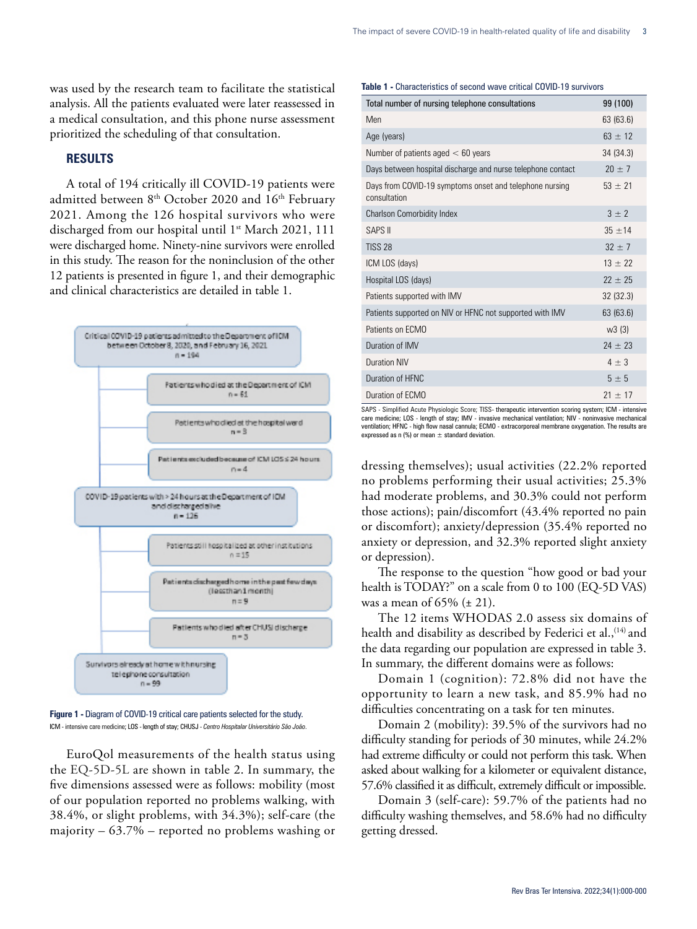was used by the research team to facilitate the statistical analysis. All the patients evaluated were later reassessed in a medical consultation, and this phone nurse assessment prioritized the scheduling of that consultation.

# **RESULTS**

A total of 194 critically ill COVID-19 patients were admitted between 8<sup>th</sup> October 2020 and 16<sup>th</sup> February 2021. Among the 126 hospital survivors who were discharged from our hospital until 1<sup>st</sup> March 2021, 111 were discharged home. Ninety-nine survivors were enrolled in this study. The reason for the noninclusion of the other 12 patients is presented in figure 1, and their demographic and clinical characteristics are detailed in table 1.



**Figure 1 -** Diagram of COVID-19 critical care patients selected for the study. ICM - intensive care medicine; LOS - length of stay; CHUSJ - *Centro Hospitalar Universitário São João*.

EuroQol measurements of the health status using the EQ-5D-5L are shown in table 2. In summary, the five dimensions assessed were as follows: mobility (most of our population reported no problems walking, with 38.4%, or slight problems, with 34.3%); self-care (the majority – 63.7% – reported no problems washing or

#### **Table 1 -** Characteristics of second wave critical COVID-19 survivors

| Total number of nursing telephone consultations                         | 99 (100)    |
|-------------------------------------------------------------------------|-------------|
| Men                                                                     | 63 (63.6)   |
| Age (years)                                                             | $63 \pm 12$ |
| Number of patients aged < 60 years                                      | 34 (34.3)   |
| Days between hospital discharge and nurse telephone contact             | $20 \pm 7$  |
| Days from COVID-19 symptoms onset and telephone nursing<br>consultation | $53 \pm 21$ |
| <b>Charlson Comorbidity Index</b>                                       | $3 \pm 2$   |
| <b>SAPS II</b>                                                          | $35 \pm 14$ |
| TISS <sub>28</sub>                                                      | $32 \pm 7$  |
| ICM LOS (days)                                                          | $13 \pm 22$ |
| Hospital LOS (days)                                                     | $72 \pm 75$ |
| Patients supported with IMV                                             | 32 (32.3)   |
| Patients supported on NIV or HFNC not supported with IMV                | 63 (63.6)   |
| Patients on FCMO                                                        | w3(3)       |
| Duration of IMV                                                         | $24 \pm 23$ |
| <b>Duration NIV</b>                                                     | $4 \pm 3$   |
| Duration of HFNC                                                        | $5 \pm 5$   |
| Duration of FCMO                                                        | $21 \pm 17$ |

SAPS - Simplified Acute Physiologic Score; TISS- therapeutic intervention scoring system; ICM - intensive care medicine; LOS - length of stay; IMV - invasive mechanical ventilation; NIV - noninvasive mechanical ventilation; HFNC - high flow nasal cannula; ECMO - extracorporeal membrane oxygenation. The results are expressed as  $n$  (%) or mean  $\pm$  standard deviation.

dressing themselves); usual activities (22.2% reported no problems performing their usual activities; 25.3% had moderate problems, and 30.3% could not perform those actions); pain/discomfort (43.4% reported no pain or discomfort); anxiety/depression (35.4% reported no anxiety or depression, and 32.3% reported slight anxiety or depression).

The response to the question "how good or bad your health is TODAY?" on a scale from 0 to 100 (EO-5D VAS) was a mean of  $65\%$  ( $\pm$  21).

The 12 items WHODAS 2.0 assess six domains of health and disability as described by Federici et al.,<sup>(14)</sup> and the data regarding our population are expressed in table 3. In summary, the different domains were as follows:

Domain 1 (cognition): 72.8% did not have the opportunity to learn a new task, and 85.9% had no difficulties concentrating on a task for ten minutes.

Domain 2 (mobility): 39.5% of the survivors had no difficulty standing for periods of 30 minutes, while 24.2% had extreme difficulty or could not perform this task. When asked about walking for a kilometer or equivalent distance, 57.6% classified it as difficult, extremely difficult or impossible.

Domain 3 (self-care): 59.7% of the patients had no difficulty washing themselves, and 58.6% had no difficulty getting dressed.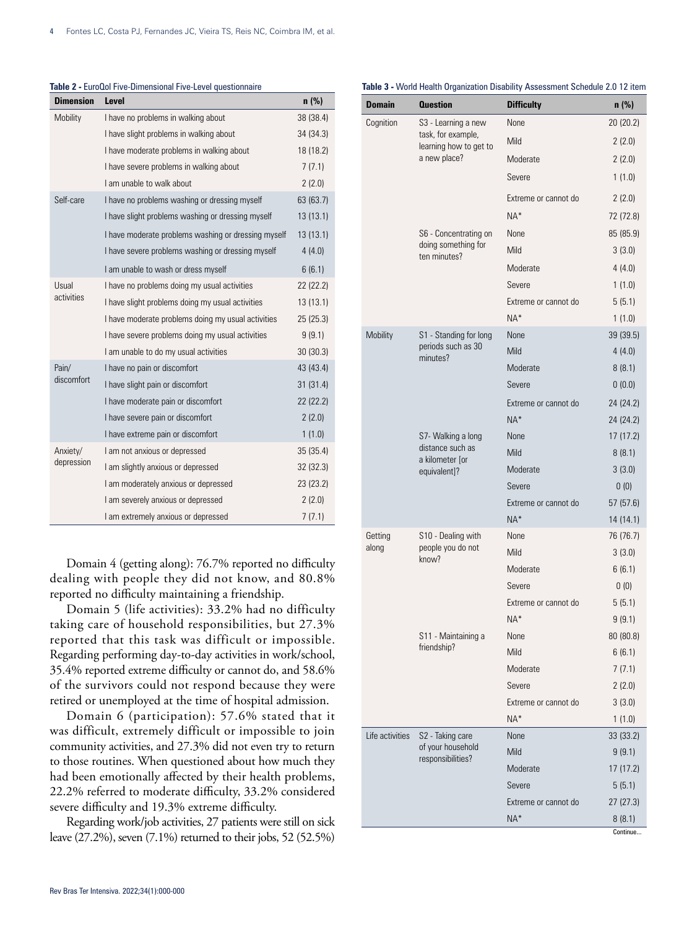| <b>Dimension</b>    | Level                                               | n (%)     |
|---------------------|-----------------------------------------------------|-----------|
| Mobility            | I have no problems in walking about                 | 38 (38.4) |
|                     | I have slight problems in walking about             | 34 (34.3) |
|                     | I have moderate problems in walking about           | 18 (18.2) |
|                     | I have severe problems in walking about             | 7(7.1)    |
|                     | I am unable to walk about                           | 2(2.0)    |
| Self-care           | I have no problems washing or dressing myself       | 63 (63.7) |
|                     | I have slight problems washing or dressing myself   | 13(13.1)  |
|                     | I have moderate problems washing or dressing myself | 13(13.1)  |
|                     | I have severe problems washing or dressing myself   | 4(4.0)    |
|                     | I am unable to wash or dress myself                 | 6(6.1)    |
| Usual               | I have no problems doing my usual activities        | 22 (22.2) |
| activities          | I have slight problems doing my usual activities    | 13(13.1)  |
|                     | I have moderate problems doing my usual activities  | 25(25.3)  |
|                     | I have severe problems doing my usual activities    | 9(9.1)    |
|                     | I am unable to do my usual activities               | 30(30.3)  |
| Pain/<br>discomfort | I have no pain or discomfort                        | 43 (43.4) |
|                     | I have slight pain or discomfort                    | 31(31.4)  |
|                     | I have moderate pain or discomfort                  | 22 (22.2) |
|                     | I have severe pain or discomfort                    | 2(2.0)    |
|                     | I have extreme pain or discomfort                   | 1(1.0)    |
| Anxiety/            | I am not anxious or depressed                       | 35(35.4)  |
| depression          | I am slightly anxious or depressed                  | 32 (32.3) |
|                     | I am moderately anxious or depressed                | 23 (23.2) |
|                     | I am severely anxious or depressed                  | 2(2.0)    |
|                     | I am extremely anxious or depressed                 | 7(7.1)    |

**Table 2 -** EuroQol Five-Dimensional Five-Level questionnaire

Domain 4 (getting along): 76.7% reported no difficulty dealing with people they did not know, and 80.8% reported no difficulty maintaining a friendship.

Domain 5 (life activities): 33.2% had no difficulty taking care of household responsibilities, but 27.3% reported that this task was difficult or impossible. Regarding performing day-to-day activities in work/school, 35.4% reported extreme difficulty or cannot do, and 58.6% of the survivors could not respond because they were retired or unemployed at the time of hospital admission.

Domain 6 (participation): 57.6% stated that it was difficult, extremely difficult or impossible to join community activities, and 27.3% did not even try to return to those routines. When questioned about how much they had been emotionally affected by their health problems, 22.2% referred to moderate difficulty, 33.2% considered severe difficulty and 19.3% extreme difficulty.

Regarding work/job activities, 27 patients were still on sick leave (27.2%), seven (7.1%) returned to their jobs, 52 (52.5%)

## **Table 3 -** World Health Organization Disability Assessment Schedule 2.0 12 item

| <b>Domain</b>    | <b>Question</b>                                                        | <b>Difficulty</b>    | $n$ (%)          |
|------------------|------------------------------------------------------------------------|----------------------|------------------|
| Cognition        | S3 - Learning a new                                                    | None                 | 20 (20.2)        |
|                  | task, for example,<br>learning how to get to                           | Mild                 | 2(2.0)           |
|                  | a new place?                                                           | Moderate             | 2(2.0)           |
|                  |                                                                        | Severe               | 1(1.0)           |
|                  |                                                                        | Extreme or cannot do | 2(2.0)           |
|                  |                                                                        | NA*                  | 72 (72.8)        |
|                  | S6 - Concentrating on<br>doing something for<br>ten minutes?           | None                 | 85 (85.9)        |
|                  |                                                                        | Mild                 | 3(3.0)           |
|                  |                                                                        | Moderate             | 4 (4.0)          |
|                  |                                                                        | Severe               | 1(1.0)           |
|                  |                                                                        | Extreme or cannot do | 5(5.1)           |
|                  |                                                                        | $NA*$                | 1(1.0)           |
| Mobility         | S1 - Standing for long                                                 | None                 | 39 (39.5)        |
|                  | periods such as 30<br>minutes?                                         | Mild                 | 4 (4.0)          |
|                  |                                                                        | Moderate             | 8(8.1)           |
|                  |                                                                        | Severe               | 0(0.0)           |
|                  |                                                                        | Extreme or cannot do | 24 (24.2)        |
|                  |                                                                        | $NA*$                | 24 (24.2)        |
|                  | S7- Walking a long                                                     | None                 | 17(17.2)         |
|                  | distance such as<br>a kilometer [or                                    | Mild                 | 8(8.1)           |
|                  | equivalent]?                                                           | Moderate             | 3(3.0)           |
|                  |                                                                        | Severe               | 0(0)             |
|                  |                                                                        | Extreme or cannot do | 57(57.6)         |
|                  |                                                                        | $NA*$                | 14 (14.1)        |
| Getting<br>along | S10 - Dealing with<br>people you do not<br>know?                       | None                 | 76 (76.7)        |
|                  |                                                                        | Mild                 | 3(3.0)           |
|                  |                                                                        | Moderate             | 6(6.1)           |
|                  |                                                                        | Severe               | 0(0)             |
|                  |                                                                        | Extreme or cannot do | 5 (5.1)          |
|                  |                                                                        | $NA^*$               | 9(9.1)           |
|                  | S11 - Maintaining a<br>friendship?                                     | None                 | 80 (80.8)        |
|                  |                                                                        | Mild                 | 6(6.1)           |
|                  |                                                                        | Moderate<br>Severe   | 7(7.1)           |
|                  |                                                                        | Extreme or cannot do | 2(2.0)           |
|                  |                                                                        | NA*                  | 3(3.0)<br>1(1.0) |
| I ife activities | S <sub>2</sub> - Taking care<br>of your household<br>responsibilities? | None                 | 33 (33.2)        |
|                  |                                                                        | Mild                 | 9(9.1)           |
|                  |                                                                        | Moderate             | 17(17.2)         |
|                  |                                                                        | Severe               | 5(5.1)           |
|                  |                                                                        | Extreme or cannot do | 27(27.3)         |
|                  |                                                                        | NA*                  | 8(8.1)           |
|                  |                                                                        |                      | Continue         |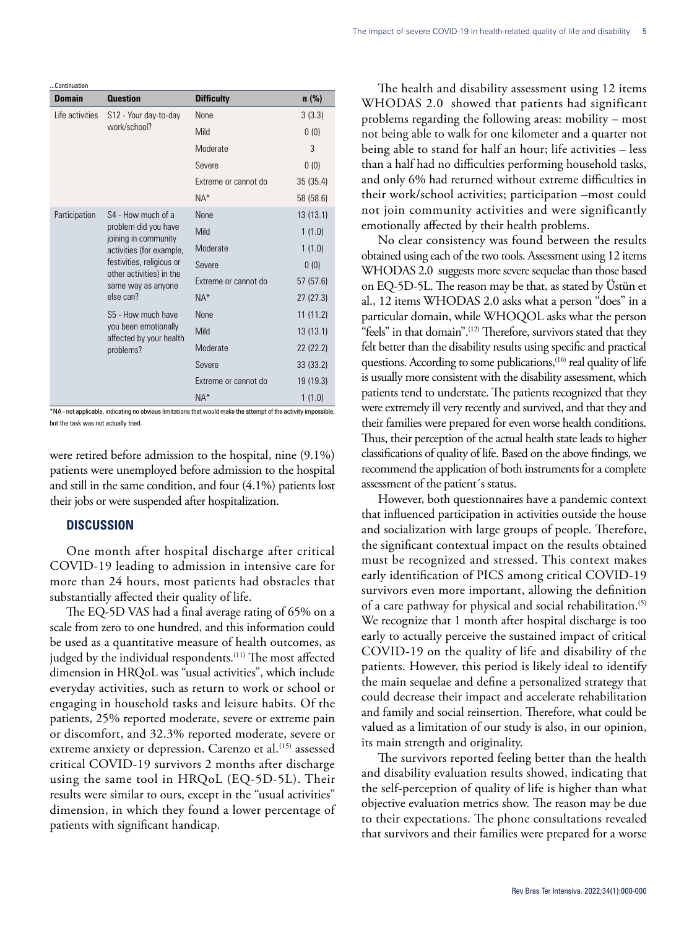| .Continuation    |                                                                                                                                                                                            |                      |           |  |  |
|------------------|--------------------------------------------------------------------------------------------------------------------------------------------------------------------------------------------|----------------------|-----------|--|--|
| <b>Domain</b>    | <b>Question</b>                                                                                                                                                                            | <b>Difficulty</b>    | $n$ (%)   |  |  |
| I ife activities | S12 - Your day-to-day<br>work/school?                                                                                                                                                      | <b>None</b>          | 3(3.3)    |  |  |
|                  |                                                                                                                                                                                            | Mild                 | 0(0)      |  |  |
|                  |                                                                                                                                                                                            | Moderate             | 3         |  |  |
|                  |                                                                                                                                                                                            | Severe               | 0(0)      |  |  |
|                  |                                                                                                                                                                                            | Extreme or cannot do | 35(35.4)  |  |  |
|                  |                                                                                                                                                                                            | $NA*$                | 58 (58.6) |  |  |
| Participation    | S4 - How much of a<br>problem did you have<br>joining in community<br>activities (for example,<br>festivities, religious or<br>other activities) in the<br>same way as anyone<br>else can? | <b>None</b>          | 13(13.1)  |  |  |
|                  |                                                                                                                                                                                            | Mild                 | 1(1.0)    |  |  |
|                  |                                                                                                                                                                                            | Moderate             | 1(1.0)    |  |  |
|                  |                                                                                                                                                                                            | Severe               | 0(0)      |  |  |
|                  |                                                                                                                                                                                            | Extreme or cannot do | 57(57.6)  |  |  |
|                  |                                                                                                                                                                                            | $NA*$                | 27(27.3)  |  |  |
|                  | S5 - How much have<br>you been emotionally<br>affected by your health<br>problems?                                                                                                         | None                 | 11(11.2)  |  |  |
|                  |                                                                                                                                                                                            | Mild                 | 13(13.1)  |  |  |
|                  |                                                                                                                                                                                            | Moderate             | 22 (22.2) |  |  |
|                  |                                                                                                                                                                                            | Severe               | 33 (33.2) |  |  |
|                  |                                                                                                                                                                                            | Extreme or cannot do | 19 (19.3) |  |  |
|                  |                                                                                                                                                                                            | $NA*$                | 1(1.0)    |  |  |

\*NA - not applicable, indicating no obvious limitations that would make the attempt of the activity impossible, but the task was not actually tried.

were retired before admission to the hospital, nine (9.1%) patients were unemployed before admission to the hospital and still in the same condition, and four (4.1%) patients lost their jobs or were suspended after hospitalization.

# **DISCUSSION**

One month after hospital discharge after critical COVID-19 leading to admission in intensive care for more than 24 hours, most patients had obstacles that substantially affected their quality of life.

The EQ-5D VAS had a final average rating of 65% on a scale from zero to one hundred, and this information could be used as a quantitative measure of health outcomes, as judged by the individual respondents.<sup>(11)</sup> The most affected dimension in HRQoL was "usual activities", which include everyday activities, such as return to work or school or engaging in household tasks and leisure habits. Of the patients, 25% reported moderate, severe or extreme pain or discomfort, and 32.3% reported moderate, severe or extreme anxiety or depression. Carenzo et al.<sup>(15)</sup> assessed critical COVID-19 survivors 2 months after discharge using the same tool in HRQoL (EQ-5D-5L). Their results were similar to ours, except in the "usual activities" dimension, in which they found a lower percentage of patients with significant handicap.

The health and disability assessment using 12 items WHODAS 2.0 showed that patients had significant problems regarding the following areas: mobility – most not being able to walk for one kilometer and a quarter not being able to stand for half an hour; life activities – less than a half had no difficulties performing household tasks, and only 6% had returned without extreme difficulties in their work/school activities; participation –most could not join community activities and were significantly emotionally affected by their health problems.

No clear consistency was found between the results obtained using each of the two tools. Assessment using 12 items WHODAS 2.0 suggests more severe sequelae than those based on EQ-5D-5L. The reason may be that, as stated by Üstün et al., 12 items WHODAS 2.0 asks what a person "does" in a particular domain, while WHOQOL asks what the person "feels" in that domain".<sup>(12)</sup> Therefore, survivors stated that they felt better than the disability results using specific and practical questions. According to some publications,<sup>(16)</sup> real quality of life is usually more consistent with the disability assessment, which patients tend to understate. The patients recognized that they were extremely ill very recently and survived, and that they and their families were prepared for even worse health conditions. Thus, their perception of the actual health state leads to higher classifications of quality of life. Based on the above findings, we recommend the application of both instruments for a complete assessment of the patient´s status.

However, both questionnaires have a pandemic context that influenced participation in activities outside the house and socialization with large groups of people. Therefore, the significant contextual impact on the results obtained must be recognized and stressed. This context makes early identification of PICS among critical COVID-19 survivors even more important, allowing the definition of a care pathway for physical and social rehabilitation.(5) We recognize that 1 month after hospital discharge is too early to actually perceive the sustained impact of critical COVID-19 on the quality of life and disability of the patients. However, this period is likely ideal to identify the main sequelae and define a personalized strategy that could decrease their impact and accelerate rehabilitation and family and social reinsertion. Therefore, what could be valued as a limitation of our study is also, in our opinion, its main strength and originality.

The survivors reported feeling better than the health and disability evaluation results showed, indicating that the self-perception of quality of life is higher than what objective evaluation metrics show. The reason may be due to their expectations. The phone consultations revealed that survivors and their families were prepared for a worse